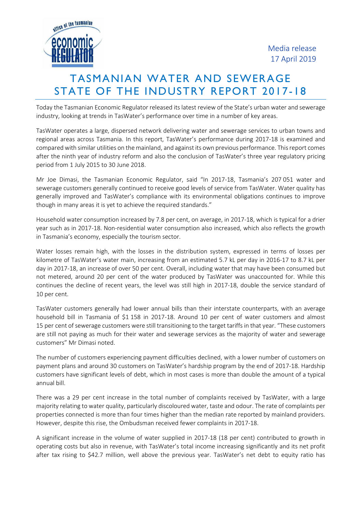

## TASMANIAN WATER AND SEWERAGE STATE OF THE INDUSTRY REPORT 2017-18

Today the Tasmanian Economic Regulator released its latest review of the State's urban water and sewerage industry, looking at trends in TasWater's performance over time in a number of key areas.

TasWater operates a large, dispersed network delivering water and sewerage services to urban towns and regional areas across Tasmania. In this report, TasWater's performance during 2017-18 is examined and compared with similar utilities on the mainland, and against its own previous performance. This report comes after the ninth year of industry reform and also the conclusion of TasWater's three year regulatory pricing period from 1 July 2015 to 30 June 2018.

Mr Joe Dimasi, the Tasmanian Economic Regulator, said "In 2017-18, Tasmania's 207 051 water and sewerage customers generally continued to receive good levels of service from TasWater. Water quality has generally improved and TasWater's compliance with its environmental obligations continues to improve though in many areas it is yet to achieve the required standards."

Household water consumption increased by 7.8 per cent, on average, in 2017-18, which is typical for a drier year such as in 2017-18. Non-residential water consumption also increased, which also reflects the growth in Tasmania's economy, especially the tourism sector.

Water losses remain high, with the losses in the distribution system, expressed in terms of losses per kilometre of TasWater's water main, increasing from an estimated 5.7 kL per day in 2016-17 to 8.7 kL per day in 2017-18, an increase of over 50 per cent. Overall, including water that may have been consumed but not metered, around 20 per cent of the water produced by TasWater was unaccounted for. While this continues the decline of recent years, the level was still high in 2017-18, double the service standard of 10 per cent.

TasWater customers generally had lower annual bills than their interstate counterparts, with an average household bill in Tasmania of \$1 158 in 2017-18. Around 10 per cent of water customers and almost 15 per cent of sewerage customers were still transitioning to the target tariffs in that year. "These customers are still not paying as much for their water and sewerage services as the majority of water and sewerage customers" Mr Dimasi noted.

The number of customers experiencing payment difficulties declined, with a lower number of customers on payment plans and around 30 customers on TasWater's hardship program by the end of 2017-18. Hardship customers have significant levels of debt, which in most cases is more than double the amount of a typical annual bill.

There was a 29 per cent increase in the total number of complaints received by TasWater, with a large majority relating to water quality, particularly discoloured water, taste and odour. The rate of complaints per properties connected is more than four times higher than the median rate reported by mainland providers. However, despite this rise, the Ombudsman received fewer complaints in 2017-18.

A significant increase in the volume of water supplied in 2017-18 (18 per cent) contributed to growth in operating costs but also in revenue, with TasWater's total income increasing significantly and its net profit after tax rising to \$42.7 million, well above the previous year. TasWater's net debt to equity ratio has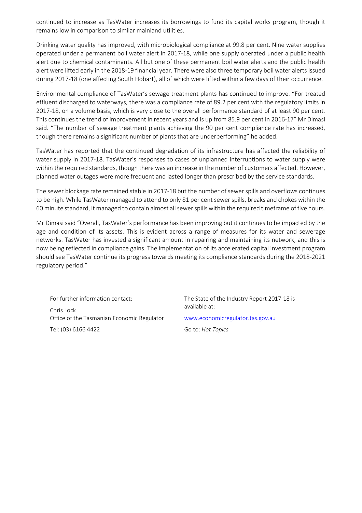continued to increase as TasWater increases its borrowings to fund its capital works program, though it remains low in comparison to similar mainland utilities.

Drinking water quality has improved, with microbiological compliance at 99.8 per cent. Nine water supplies operated under a permanent boil water alert in 2017-18, while one supply operated under a public health alert due to chemical contaminants. All but one of these permanent boil water alerts and the public health alert were lifted early in the 2018-19 financial year. There were also three temporary boil water alerts issued during 2017-18 (one affecting South Hobart), all of which were lifted within a few days of their occurrence.

Environmental compliance of TasWater's sewage treatment plants has continued to improve. "For treated effluent discharged to waterways, there was a compliance rate of 89.2 per cent with the regulatory limits in 2017-18, on a volume basis, which is very close to the overall performance standard of at least 90 per cent. This continues the trend of improvement in recent years and is up from 85.9 per cent in 2016-17" Mr Dimasi said. "The number of sewage treatment plants achieving the 90 per cent compliance rate has increased, though there remains a significant number of plants that are underperforming" he added.

TasWater has reported that the continued degradation of its infrastructure has affected the reliability of water supply in 2017-18. TasWater's responses to cases of unplanned interruptions to water supply were within the required standards, though there was an increase in the number of customers affected. However, planned water outages were more frequent and lasted longer than prescribed by the service standards.

The sewer blockage rate remained stable in 2017-18 but the number of sewer spills and overflows continues to be high. While TasWater managed to attend to only 81 per cent sewer spills, breaks and chokes within the 60 minute standard, it managed to contain almost all sewer spills within the required timeframe of five hours.

Mr Dimasi said "Overall, TasWater's performance has been improving but it continues to be impacted by the age and condition of its assets. This is evident across a range of measures for its water and sewerage networks. TasWater has invested a significant amount in repairing and maintaining its network, and this is now being reflected in compliance gains. The implementation of its accelerated capital investment program should see TasWater continue its progress towards meeting its compliance standards during the 2018-2021 regulatory period."

For further information contact: Chris Lock Office of the Tasmanian Economic Regulator Tel: (03) 6166 4422

The State of the Industry Report 2017-18 is available at:

www.economicregulator.tas.gov.au

Go to: *Hot Topics*